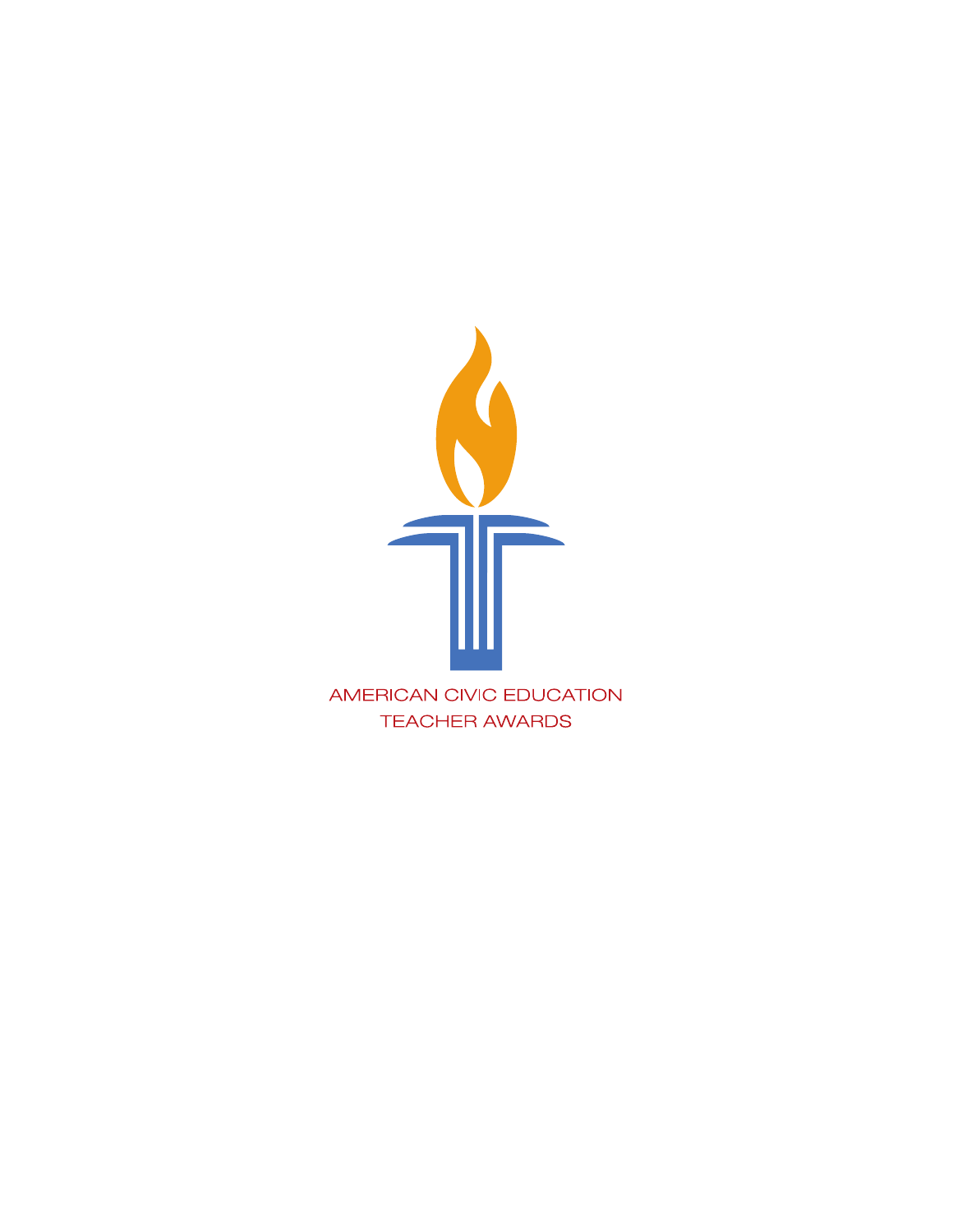

**TEACHER AWARDS**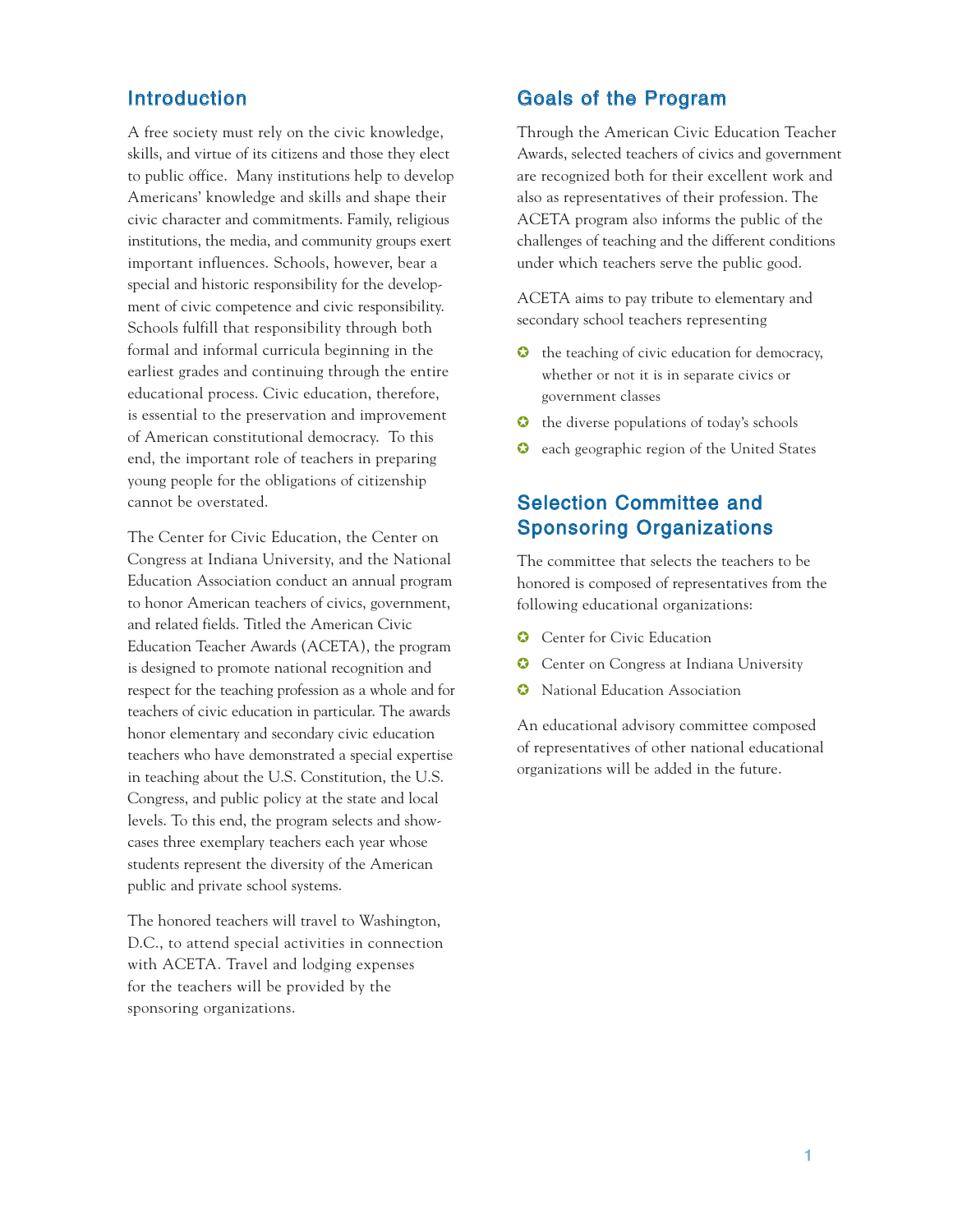### Introduction

A free society must rely on the civic knowledge, skills, and virtue of its citizens and those they elect to public office. Many institutions help to develop Americans' knowledge and skills and shape their civic character and commitments. Family, religious institutions, the media, and community groups exert important influences. Schools, however, bear a special and historic responsibility for the development of civic competence and civic responsibility. Schools fulfill that responsibility through both formal and informal curricula beginning in the earliest grades and continuing through the entire educational process. Civic education, therefore, is essential to the preservation and improvement of American constitutional democracy. To this end, the important role of teachers in preparing young people for the obligations of citizenship cannot be overstated.

The Center for Civic Education, the Center on Congress at Indiana University, and the National Education Association conduct an annual program to honor American teachers of civics, government, and related fields. Titled the American Civic Education Teacher Awards (ACETA), the program is designed to promote national recognition and respect for the teaching profession as a whole and for teachers of civic education in particular. The awards honor elementary and secondary civic education teachers who have demonstrated a special expertise in teaching about the U.S. Constitution, the U.S. Congress, and public policy at the state and local levels. To this end, the program selects and showcases three exemplary teachers each year whose students represent the diversity of the American public and private school systems.

The honored teachers will travel to Washington, D.C., to attend special activities in connection with ACETA. Travel and lodging expenses for the teachers will be provided by the sponsoring organizations.

#### Goals of the Program

Through the American Civic Education Teacher Awards, selected teachers of civics and government are recognized both for their excellent work and also as representatives of their profession. The ACETA program also informs the public of the challenges of teaching and the different conditions under which teachers serve the public good.

ACETA aims to pay tribute to elementary and secondary school teachers representing

- $\bullet$  the teaching of civic education for democracy, whether or not it is in separate civics or government classes
- ✪ the diverse populations of today's schools
- ✪ each geographic region of the United States

## Selection Committee and Sponsoring Organizations

The committee that selects the teachers to be honored is composed of representatives from the following educational organizations:

- Center for Civic Education
- ✪ Center on Congress at Indiana University
- National Education Association

An educational advisory committee composed of representatives of other national educational organizations will be added in the future.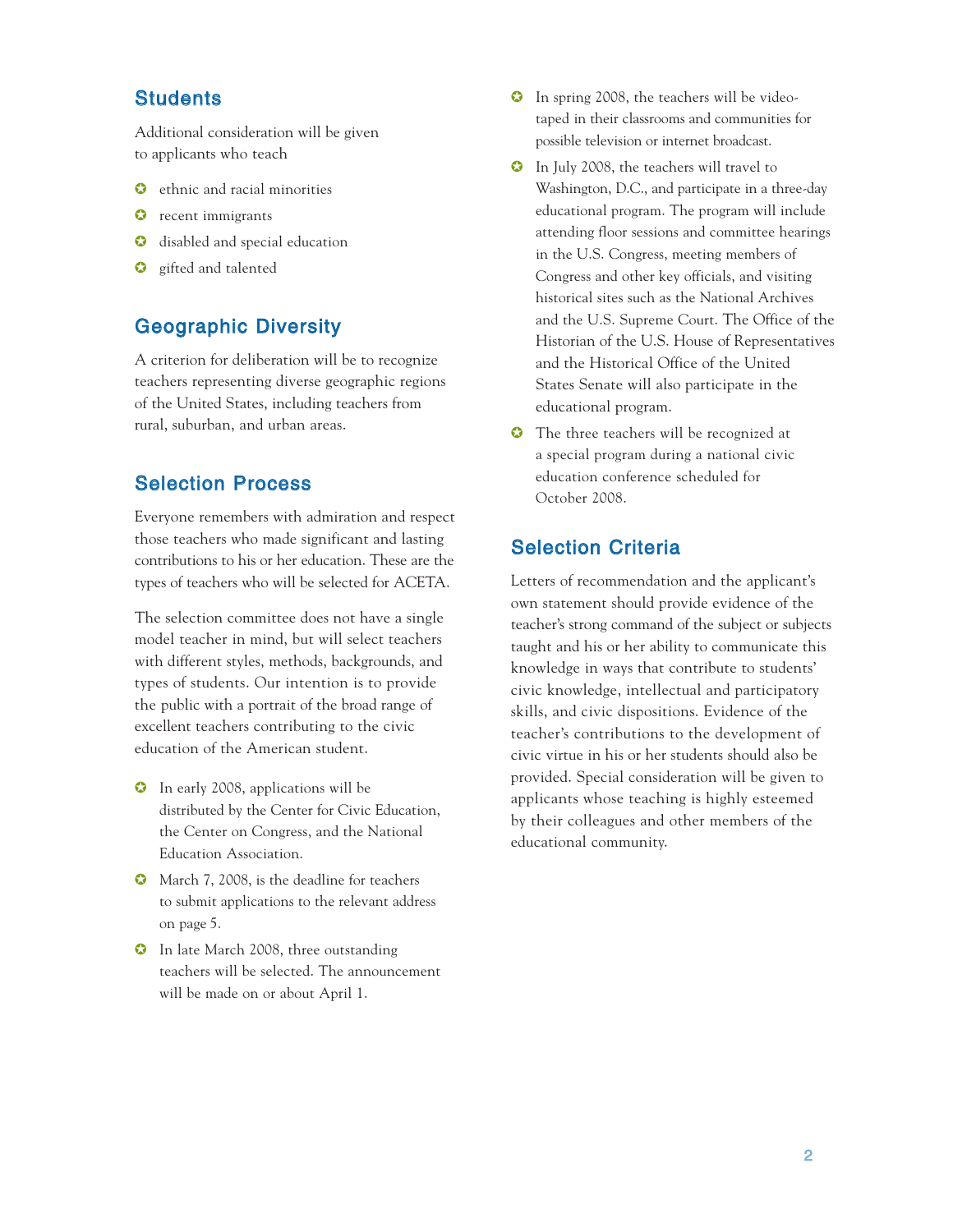#### **Students**

Additional consideration will be given to applicants who teach

- ethnic and racial minorities
- $\bullet$  recent immigrants
- ✪ disabled and special education
- $\bullet$  gifted and talented

#### Geographic Diversity

A criterion for deliberation will be to recognize teachers representing diverse geographic regions of the United States, including teachers from rural, suburban, and urban areas.

### Selection Process

Everyone remembers with admiration and respect those teachers who made significant and lasting contributions to his or her education. These are the types of teachers who will be selected for ACETA.

The selection committee does not have a single model teacher in mind, but will select teachers with different styles, methods, backgrounds, and types of students. Our intention is to provide the public with a portrait of the broad range of excellent teachers contributing to the civic education of the American student.

- ✪ In early 2008, applications will be distributed by the Center for Civic Education, the Center on Congress, and the National Education Association.
- ✪ March 7, 2008, is the deadline for teachers to submit applications to the relevant address on page 5.
- ✪ In late March 2008, three outstanding teachers will be selected. The announcement will be made on or about April 1.
- ✪ In spring 2008, the teachers will be videotaped in their classrooms and communities for possible television or internet broadcast.
- ✪ In July 2008, the teachers will travel to Washington, D.C., and participate in a three-day educational program. The program will include attending floor sessions and committee hearings in the U.S. Congress, meeting members of Congress and other key officials, and visiting historical sites such as the National Archives and the U.S. Supreme Court. The Office of the Historian of the U.S. House of Representatives and the Historical Office of the United States Senate will also participate in the educational program.
- ✪ The three teachers will be recognized at a special program during a national civic education conference scheduled for October 2008.

### Selection Criteria

Letters of recommendation and the applicant's own statement should provide evidence of the teacher's strong command of the subject or subjects taught and his or her ability to communicate this knowledge in ways that contribute to students' civic knowledge, intellectual and participatory skills, and civic dispositions. Evidence of the teacher's contributions to the development of civic virtue in his or her students should also be provided. Special consideration will be given to applicants whose teaching is highly esteemed by their colleagues and other members of the educational community.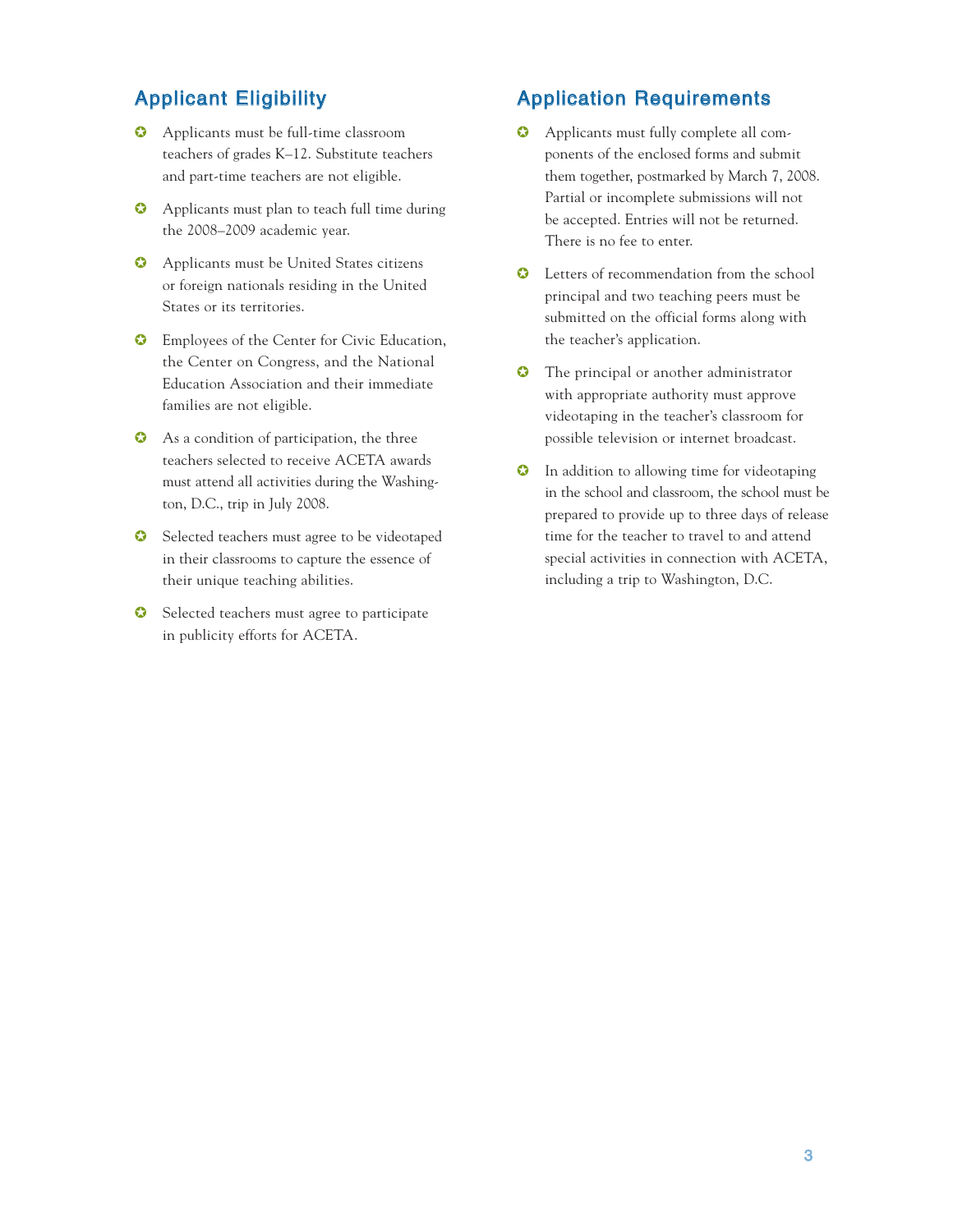### Applicant Eligibility

- ✪ Applicants must be full-time classroom teachers of grades K–12. Substitute teachers and part-time teachers are not eligible.
- ✪ Applicants must plan to teach full time during the 2008–2009 academic year.
- ✪ Applicants must be United States citizens or foreign nationals residing in the United States or its territories.
- ✪ Employees of the Center for Civic Education, the Center on Congress, and the National Education Association and their immediate families are not eligible.
- ✪ As a condition of participation, the three teachers selected to receive ACETA awards must attend all activities during the Washington, D.C., trip in July 2008.
- **◯** Selected teachers must agree to be videotaped in their classrooms to capture the essence of their unique teaching abilities.
- **◯** Selected teachers must agree to participate in publicity efforts for ACETA.

### Application Requirements

- ✪ Applicants must fully complete all components of the enclosed forms and submit them together, postmarked by March 7, 2008. Partial or incomplete submissions will not be accepted. Entries will not be returned. There is no fee to enter.
- ✪ Letters of recommendation from the school principal and two teaching peers must be submitted on the official forms along with the teacher's application.
- ✪ The principal or another administrator with appropriate authority must approve videotaping in the teacher's classroom for possible television or internet broadcast.
- ✪ In addition to allowing time for videotaping in the school and classroom, the school must be prepared to provide up to three days of release time for the teacher to travel to and attend special activities in connection with ACETA, including a trip to Washington, D.C.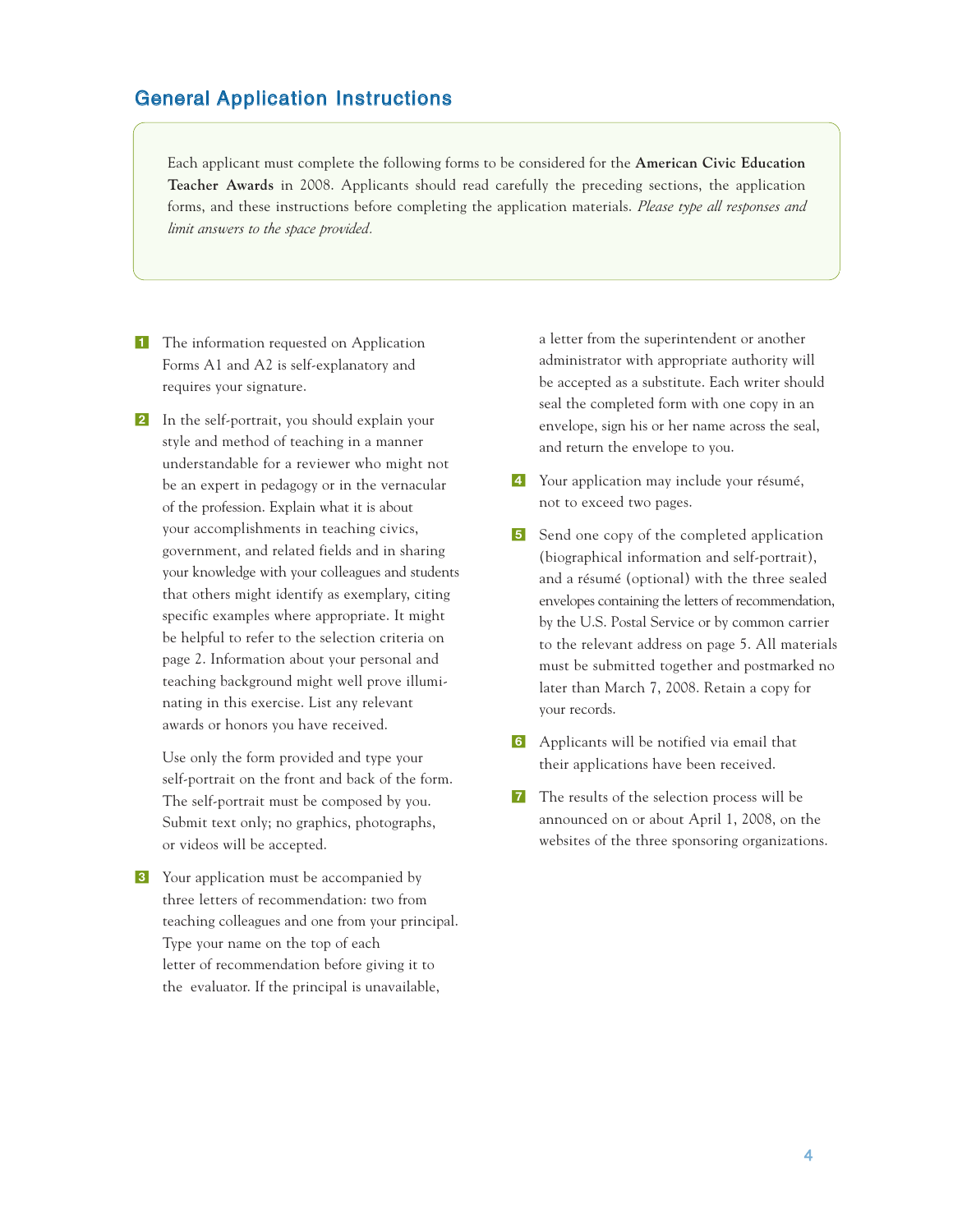### General Application Instructions

Each applicant must complete the following forms to be considered for the **American Civic Education Teacher Awards** in 2008. Applicants should read carefully the preceding sections, the application forms, and these instructions before completing the application materials. *Please type all responses and limit answers to the space provided.*

- **1** The information requested on Application Forms A1 and A2 is self-explanatory and requires your signature.
- 2 In the self-portrait, you should explain your style and method of teaching in a manner understandable for a reviewer who might not be an expert in pedagogy or in the vernacular of the profession. Explain what it is about your accomplishments in teaching civics, government, and related fields and in sharing your knowledge with your colleagues and students that others might identify as exemplary, citing specific examples where appropriate. It might be helpful to refer to the selection criteria on page 2. Information about your personal and teaching background might well prove illuminating in this exercise. List any relevant awards or honors you have received.

Use only the form provided and type your self-portrait on the front and back of the form. The self-portrait must be composed by you. Submit text only; no graphics, photographs, or videos will be accepted.

**3** Your application must be accompanied by three letters of recommendation: two from teaching colleagues and one from your principal. Type your name on the top of each letter of recommendation before giving it to the evaluator. If the principal is unavailable,

a letter from the superintendent or another administrator with appropriate authority will be accepted as a substitute. Each writer should seal the completed form with one copy in an envelope, sign his or her name across the seal, and return the envelope to you.

- <sup>4</sup> Your application may include your résumé, not to exceed two pages.
- 5 Send one copy of the completed application (biographical information and self-portrait), and a résumé (optional) with the three sealed envelopes containing the letters of recommendation, by the U.S. Postal Service or by common carrier to the relevant address on page 5. All materials must be submitted together and postmarked no later than March 7, 2008. Retain a copy for your records.
- 6 Applicants will be notified via email that their applications have been received.
- **7** The results of the selection process will be announced on or about April 1, 2008, on the websites of the three sponsoring organizations.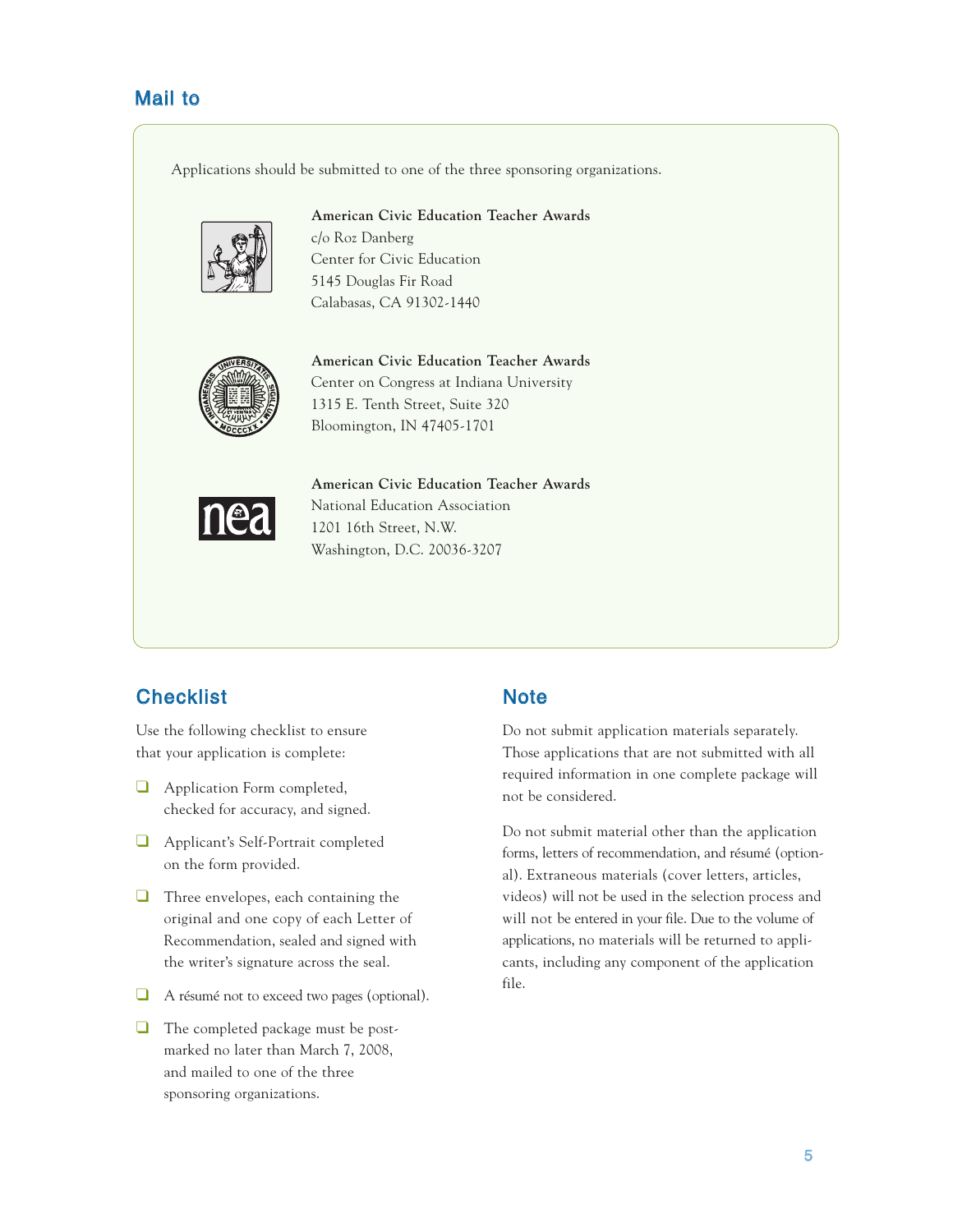### Mail to

Applications should be submitted to one of the three sponsoring organizations.



**American Civic Education Teacher Awards** c/o Roz Danberg Center for Civic Education 5145 Douglas Fir Road Calabasas, CA 91302-1440



**American Civic Education Teacher Awards** Center on Congress at Indiana University 1315 E. Tenth Street, Suite 320 Bloomington, IN 47405-1701



**American Civic Education Teacher Awards** National Education Association 1201 16th Street, N.W. Washington, D.C. 20036-3207

## **Checklist**

Use the following checklist to ensure that your application is complete:

- ❑ Application Form completed, checked for accuracy, and signed.
- ❑ Applicant's Self-Portrait completed on the form provided.
- ❑ Three envelopes, each containing the original and one copy of each Letter of Recommendation, sealed and signed with the writer's signature across the seal.
- ❑ A résumé not to exceed two pages (optional).
- ❑ The completed package must be postmarked no later than March 7, 2008, and mailed to one of the three sponsoring organizations.

### **Note**

Do not submit application materials separately. Those applications that are not submitted with all required information in one complete package will not be considered.

Do not submit material other than the application forms, letters of recommendation, and résumé (optional). Extraneous materials (cover letters, articles, videos) will not be used in the selection process and will not be entered in your file. Due to the volume of applications, no materials will be returned to applicants, including any component of the application file.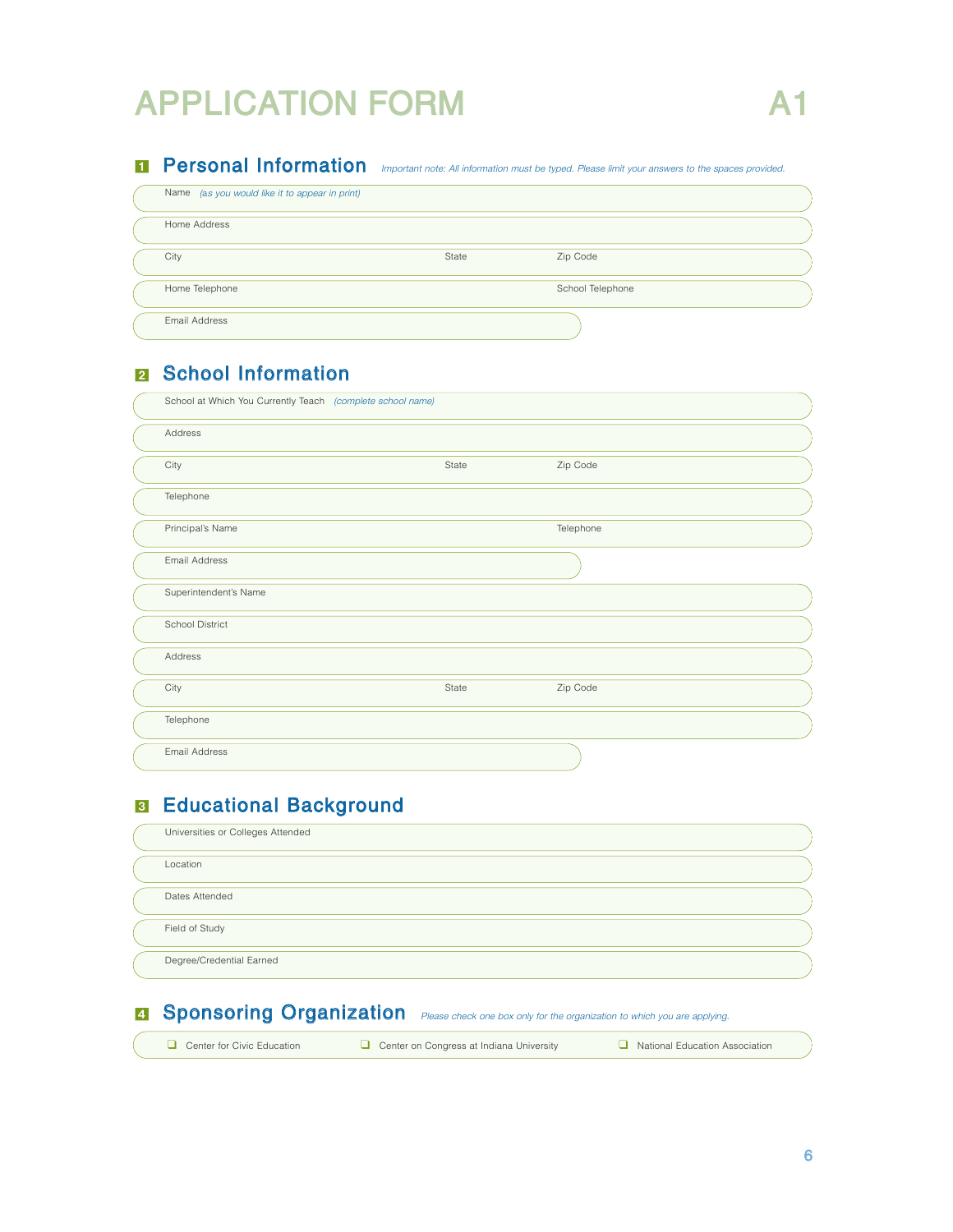# APPLICATION FORM

# **I Personal Information** Important note: All information must be typed. Please limit your answers to the spaces provided.

| Name (as you would like it to appear in print) |       |                  |  |
|------------------------------------------------|-------|------------------|--|
| Home Address                                   |       |                  |  |
| City                                           | State | Zip Code         |  |
| Home Telephone                                 |       | School Telephone |  |
| Email Address                                  |       |                  |  |

# **El** School Information

| School at Which You Currently Teach (complete school name) |       |           |
|------------------------------------------------------------|-------|-----------|
| Address                                                    |       |           |
| City                                                       | State | Zip Code  |
| Telephone                                                  |       |           |
| Principal's Name                                           |       | Telephone |
| Email Address                                              |       |           |
| Superintendent's Name                                      |       |           |
| School District                                            |       |           |
| Address                                                    |       |           |
| City                                                       | State | Zip Code  |
| Telephone                                                  |       |           |
| Email Address                                              |       |           |

# B Educational Background

| Universities or Colleges Attended |  |
|-----------------------------------|--|
| Location                          |  |
| Dates Attended                    |  |
| Field of Study                    |  |
| Degree/Credential Earned          |  |

# **B** Sponsoring Organization *Please check one box only for the organization to which you are applying.*

| Center for Civic Education |  |  |  |  |  |  |
|----------------------------|--|--|--|--|--|--|
|----------------------------|--|--|--|--|--|--|

❑ Center for Civic Education ❑ Center on Congress at Indiana University ❑ National Education Association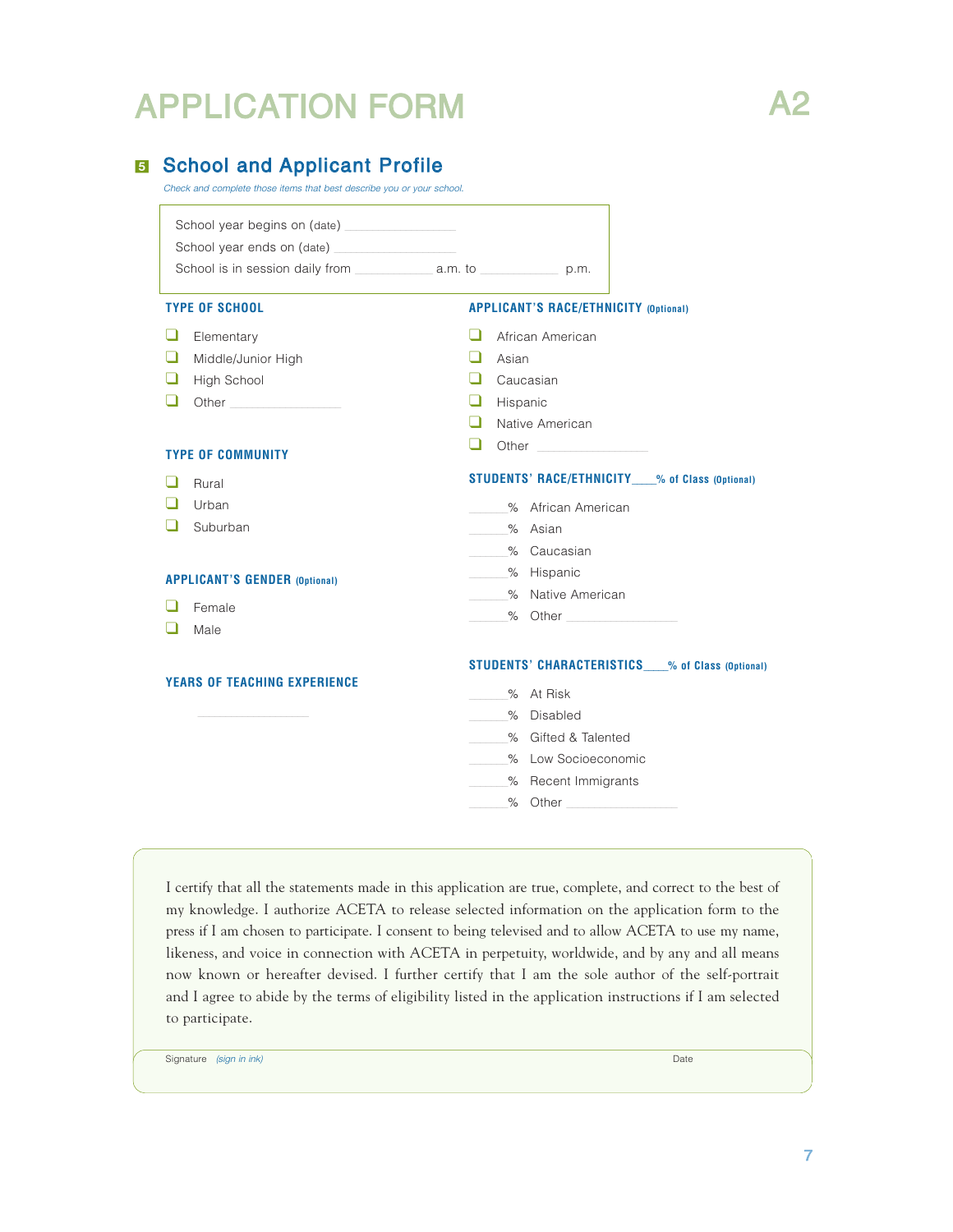# APPLICATION FORM A2



## **B** School and Applicant Profile

Check and complete those items that best describe you or your school.

| School year begins on (date)<br>School year ends on (date)                        |                                                                                                                                                                                                                                                                                                                                                                      |
|-----------------------------------------------------------------------------------|----------------------------------------------------------------------------------------------------------------------------------------------------------------------------------------------------------------------------------------------------------------------------------------------------------------------------------------------------------------------|
| <b>TYPE OF SCHOOL</b>                                                             | <b>APPLICANT'S RACE/ETHNICITY (Optional)</b>                                                                                                                                                                                                                                                                                                                         |
| ப<br>Elementary<br>ப<br>Middle/Junior High<br>ப<br>High School                    | African American<br>ப<br>Asian<br>- 1<br>- 1<br>Caucasian<br>⊔<br>Hispanic                                                                                                                                                                                                                                                                                           |
| <b>TYPE OF COMMUNITY</b>                                                          | H<br>Native American<br>ப<br>Other                                                                                                                                                                                                                                                                                                                                   |
| Rural<br>Urban<br>ப<br>Suburban<br><b>APPLICANT'S GENDER (Optional)</b><br>Female | STUDENTS' RACE/ETHNICITY 36 of Class (Optional)<br>% African American<br>% Asian<br>% Caucasian<br>- % Hispanic<br>% Native American                                                                                                                                                                                                                                 |
| Male<br><b>YEARS OF TEACHING EXPERIENCE</b>                                       | % Other the contract of the contract of the contract of the contract of the contract of the contract of the contract of the contract of the contract of the contract of the contract of the contract of the contract of the co<br><b>STUDENTS' CHARACTERISTICS____% of Class (Optional)</b><br>% At Risk<br>% Disabled<br>% Gifted & Talented<br>% Low Socioeconomic |
|                                                                                   | % Recent Immigrants<br>$\sim$<br>% Other                                                                                                                                                                                                                                                                                                                             |

I certify that all the statements made in this application are true, complete, and correct to the best of my knowledge. I authorize ACETA to release selected information on the application form to the press if I am chosen to participate. I consent to being televised and to allow ACETA to use my name, likeness, and voice in connection with ACETA in perpetuity, worldwide, and by any and all means now known or hereafter devised. I further certify that I am the sole author of the self-portrait and I agree to abide by the terms of eligibility listed in the application instructions if I am selected to participate.

Signature (sign in ink) Date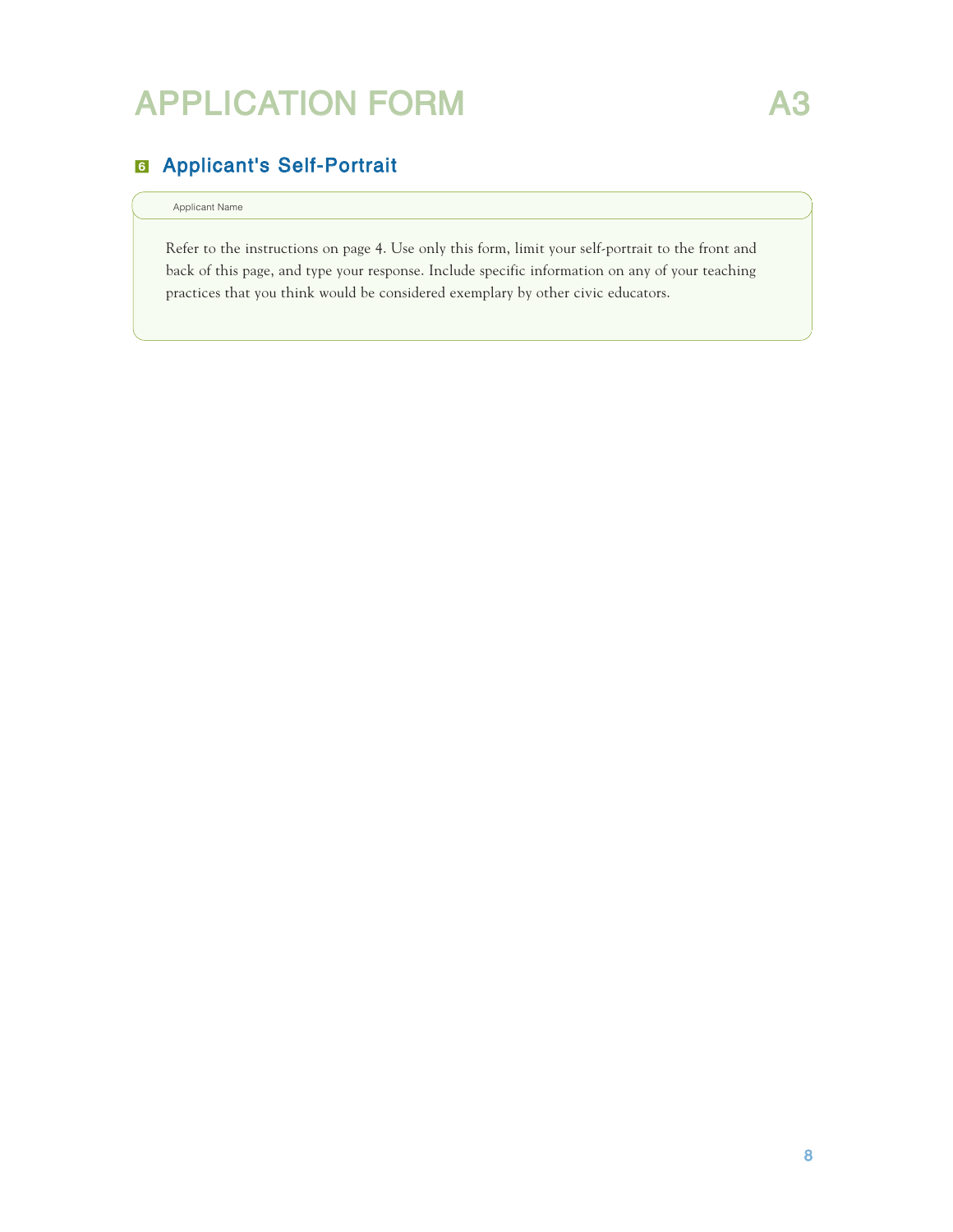# APPLICATION FORM A3

# & Applicant's Self-Portrait

#### Applicant Name

Refer to the instructions on page 4. Use only this form, limit your self-portrait to the front and back of this page, and type your response. Include specific information on any of your teaching practices that you think would be considered exemplary by other civic educators.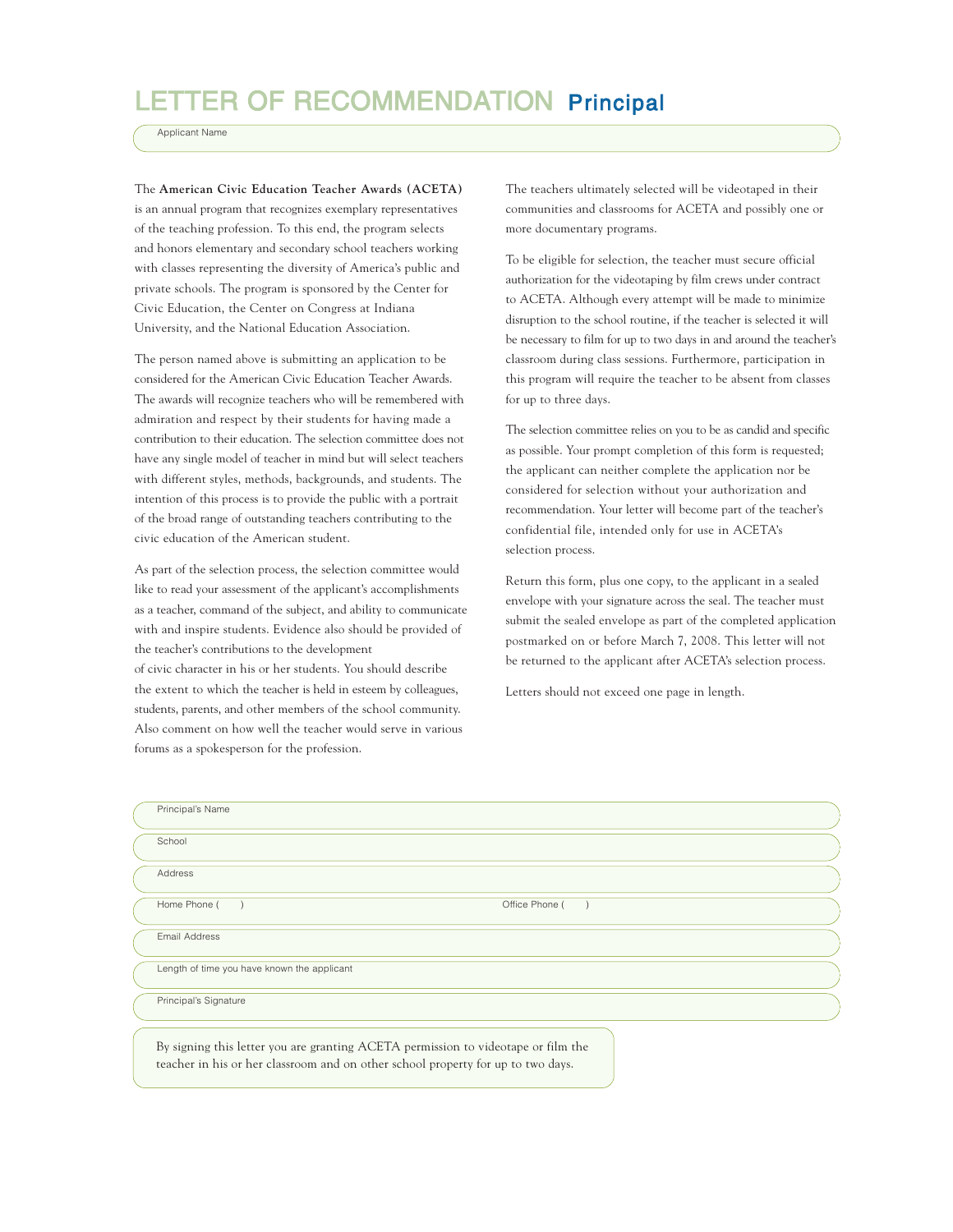# LETTER OF RECOMMENDATION Principal

Applicant Name

The **American Civic Education Teacher Awards (ACETA)** is an annual program that recognizes exemplary representatives of the teaching profession. To this end, the program selects and honors elementary and secondary school teachers working with classes representing the diversity of America's public and private schools. The program is sponsored by the Center for Civic Education, the Center on Congress at Indiana University, and the National Education Association.

The person named above is submitting an application to be considered for the American Civic Education Teacher Awards. The awards will recognize teachers who will be remembered with admiration and respect by their students for having made a contribution to their education. The selection committee does not have any single model of teacher in mind but will select teachers with different styles, methods, backgrounds, and students. The intention of this process is to provide the public with a portrait of the broad range of outstanding teachers contributing to the civic education of the American student.

As part of the selection process, the selection committee would like to read your assessment of the applicant's accomplishments as a teacher, command of the subject, and ability to communicate with and inspire students. Evidence also should be provided of the teacher's contributions to the development of civic character in his or her students. You should describe

the extent to which the teacher is held in esteem by colleagues, students, parents, and other members of the school community. Also comment on how well the teacher would serve in various forums as a spokesperson for the profession.

The teachers ultimately selected will be videotaped in their communities and classrooms for ACETA and possibly one or more documentary programs.

To be eligible for selection, the teacher must secure official authorization for the videotaping by film crews under contract to ACETA. Although every attempt will be made to minimize disruption to the school routine, if the teacher is selected it will be necessary to film for up to two days in and around the teacher's classroom during class sessions. Furthermore, participation in this program will require the teacher to be absent from classes for up to three days.

The selection committee relies on you to be as candid and specific as possible. Your prompt completion of this form is requested; the applicant can neither complete the application nor be considered for selection without your authorization and recommendation. Your letter will become part of the teacher's confidential file, intended only for use in ACETA's selection process.

Return this form, plus one copy, to the applicant in a sealed envelope with your signature across the seal. The teacher must submit the sealed envelope as part of the completed application postmarked on or before March 7, 2008. This letter will not be returned to the applicant after ACETA's selection process.

Letters should not exceed one page in length.

| Principal's Name                                                                                                                                                      |  |
|-----------------------------------------------------------------------------------------------------------------------------------------------------------------------|--|
| School                                                                                                                                                                |  |
| Address                                                                                                                                                               |  |
| Home Phone (<br>Office Phone (<br>$\rightarrow$                                                                                                                       |  |
| Email Address                                                                                                                                                         |  |
| Length of time you have known the applicant                                                                                                                           |  |
| Principal's Signature                                                                                                                                                 |  |
| By signing this letter you are granting ACETA permission to videotape or film the<br>teacher in his or her classroom and on other school property for up to two days. |  |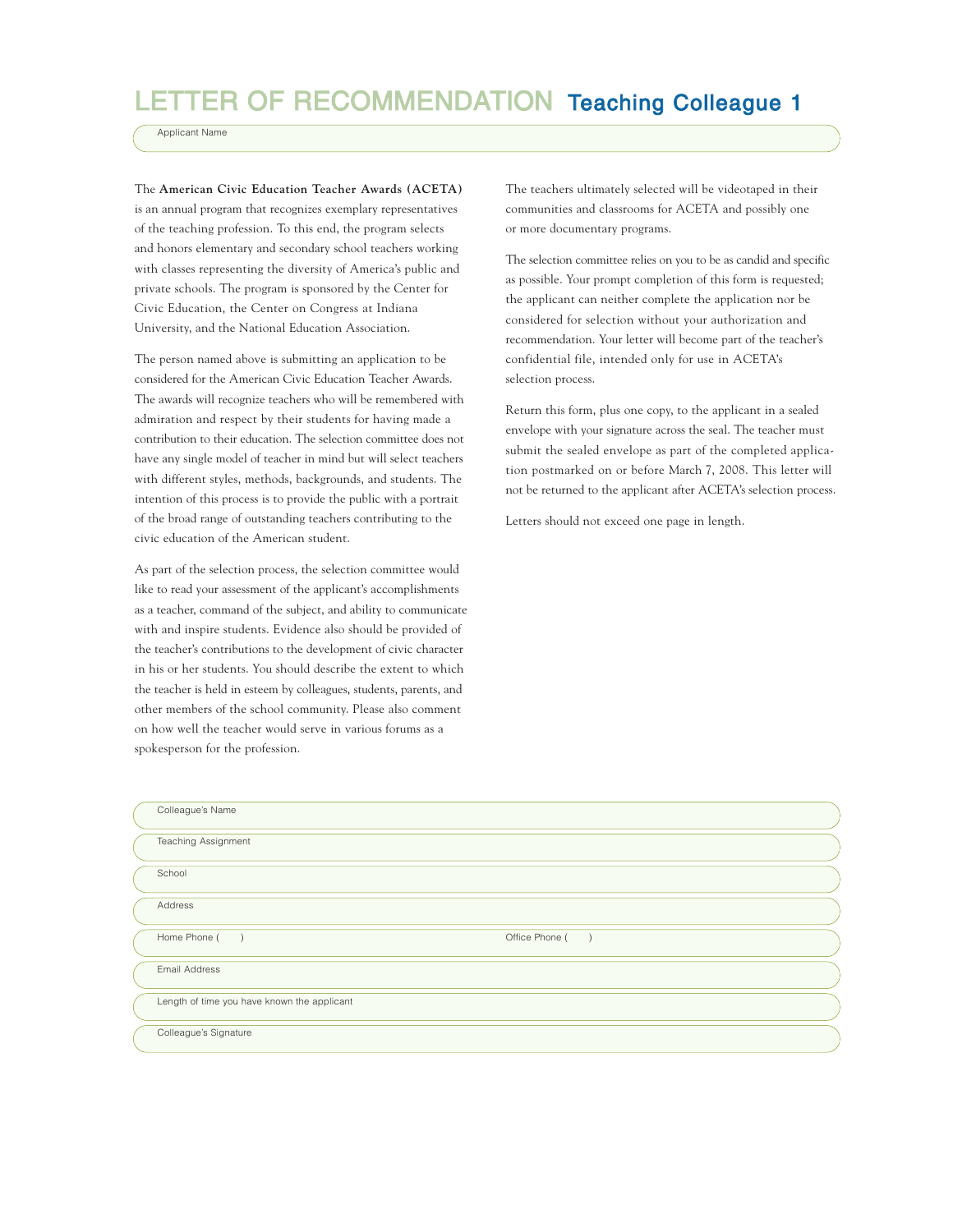# LETTER OF RECOMMENDATION Teaching Colleague 1

Applicant Name

The **American Civic Education Teacher Awards (ACETA)** is an annual program that recognizes exemplary representatives of the teaching profession. To this end, the program selects and honors elementary and secondary school teachers working with classes representing the diversity of America's public and private schools. The program is sponsored by the Center for Civic Education, the Center on Congress at Indiana University, and the National Education Association.

The person named above is submitting an application to be considered for the American Civic Education Teacher Awards. The awards will recognize teachers who will be remembered with admiration and respect by their students for having made a contribution to their education. The selection committee does not have any single model of teacher in mind but will select teachers with different styles, methods, backgrounds, and students. The intention of this process is to provide the public with a portrait of the broad range of outstanding teachers contributing to the civic education of the American student.

As part of the selection process, the selection committee would like to read your assessment of the applicant's accomplishments as a teacher, command of the subject, and ability to communicate with and inspire students. Evidence also should be provided of the teacher's contributions to the development of civic character in his or her students. You should describe the extent to which the teacher is held in esteem by colleagues, students, parents, and other members of the school community. Please also comment on how well the teacher would serve in various forums as a spokesperson for the profession.

The teachers ultimately selected will be videotaped in their communities and classrooms for ACETA and possibly one or more documentary programs.

The selection committee relies on you to be as candid and specific as possible. Your prompt completion of this form is requested; the applicant can neither complete the application nor be considered for selection without your authorization and recommendation. Your letter will become part of the teacher's confidential file, intended only for use in ACETA's selection process.

Return this form, plus one copy, to the applicant in a sealed envelope with your signature across the seal. The teacher must submit the sealed envelope as part of the completed application postmarked on or before March 7, 2008. This letter will not be returned to the applicant after ACETA's selection process.

Letters should not exceed one page in length.

| Colleague's Name                            |                                 |
|---------------------------------------------|---------------------------------|
| Teaching Assignment                         |                                 |
| School                                      |                                 |
| Address                                     |                                 |
| Home Phone (<br>$\rightarrow$               | Office Phone (<br>$\rightarrow$ |
| <b>Email Address</b>                        |                                 |
| Length of time you have known the applicant |                                 |
| Colleague's Signature                       |                                 |